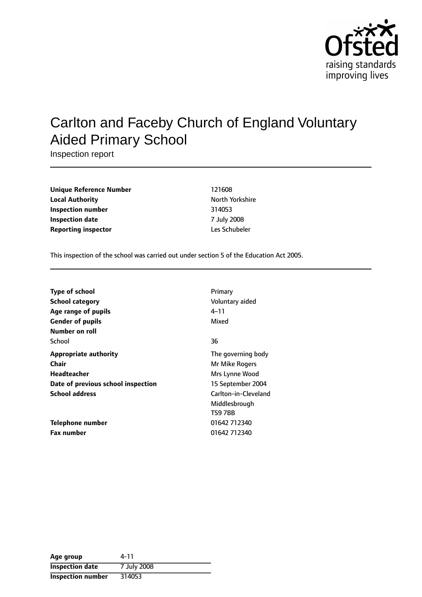

# Carlton and Faceby Church of England Voluntary Aided Primary School

Inspection report

| <b>Unique Reference Number</b> | 121608         |
|--------------------------------|----------------|
| <b>Local Authority</b>         | North Yorkshir |
| Inspection number              | 314053         |
| Inspection date                | 7 July 2008    |
| <b>Reporting inspector</b>     | Les Schubeler  |

**Unique Reference Number** 121608 **North Yorkshire Inspection number** 314053 **Inspection date** 7 July 2008

This inspection of the school was carried out under section 5 of the Education Act 2005.

| <b>Type of school</b>              | Primary              |
|------------------------------------|----------------------|
| <b>School category</b>             | Voluntary aided      |
| Age range of pupils                | 4–11                 |
| <b>Gender of pupils</b>            | Mixed                |
| Number on roll                     |                      |
| School                             | 36                   |
| <b>Appropriate authority</b>       | The governing body   |
| Chair                              | Mr Mike Rogers       |
| Headteacher                        | Mrs Lynne Wood       |
| Date of previous school inspection | 15 September 2004    |
| <b>School address</b>              | Carlton-in-Cleveland |
|                                    | Middlesbrough        |
|                                    | TS9 7BB              |
| Telephone number                   | 01642 712340         |
| <b>Fax number</b>                  | 01642 712340         |

| Age group                | 4-11        |
|--------------------------|-------------|
| <b>Inspection date</b>   | 7 July 2008 |
| <b>Inspection number</b> | 314053      |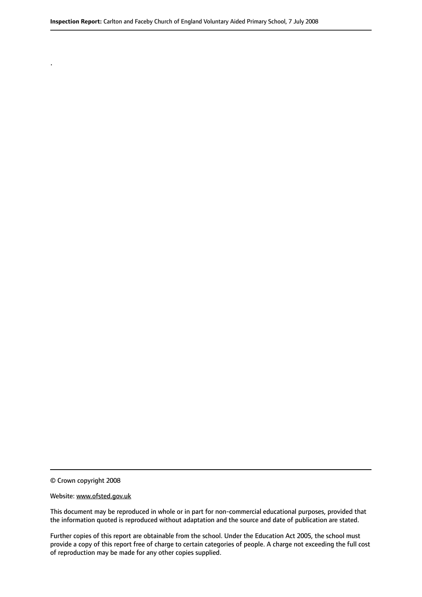© Crown copyright 2008

.

#### Website: www.ofsted.gov.uk

This document may be reproduced in whole or in part for non-commercial educational purposes, provided that the information quoted is reproduced without adaptation and the source and date of publication are stated.

Further copies of this report are obtainable from the school. Under the Education Act 2005, the school must provide a copy of this report free of charge to certain categories of people. A charge not exceeding the full cost of reproduction may be made for any other copies supplied.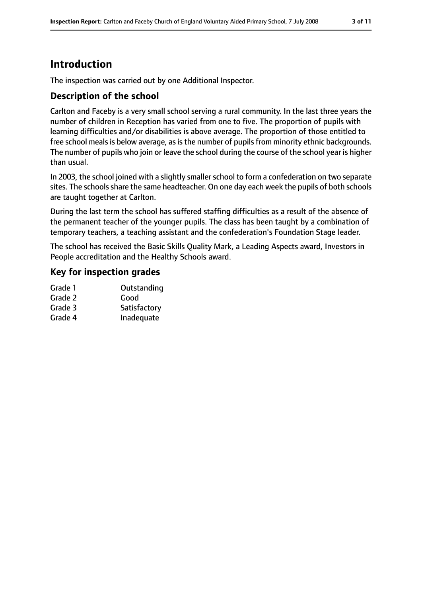## **Introduction**

The inspection was carried out by one Additional Inspector.

#### **Description of the school**

Carlton and Faceby is a very small school serving a rural community. In the last three years the number of children in Reception has varied from one to five. The proportion of pupils with learning difficulties and/or disabilities is above average. The proportion of those entitled to free school meals is below average, as is the number of pupils from minority ethnic backgrounds. The number of pupils who join or leave the school during the course of the school year is higher than usual.

In 2003, the school joined with a slightly smaller school to form a confederation on two separate sites. The schools share the same headteacher. On one day each week the pupils of both schools are taught together at Carlton.

During the last term the school has suffered staffing difficulties as a result of the absence of the permanent teacher of the younger pupils. The class has been taught by a combination of temporary teachers, a teaching assistant and the confederation's Foundation Stage leader.

The school has received the Basic Skills Quality Mark, a Leading Aspects award, Investors in People accreditation and the Healthy Schools award.

#### **Key for inspection grades**

| Grade 1 | Outstanding  |
|---------|--------------|
| Grade 2 | Good         |
| Grade 3 | Satisfactory |
| Grade 4 | Inadequate   |
|         |              |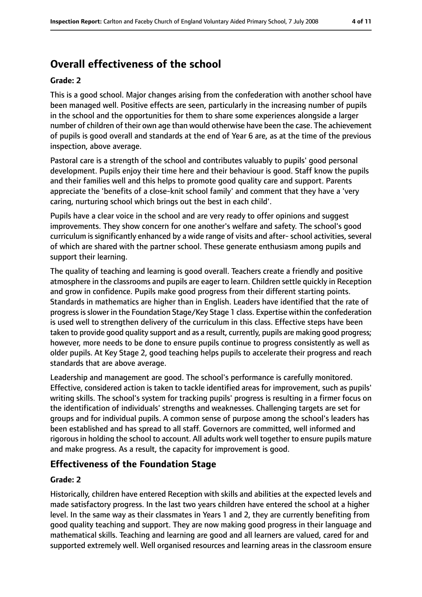## **Overall effectiveness of the school**

#### **Grade: 2**

This is a good school. Major changes arising from the confederation with another school have been managed well. Positive effects are seen, particularly in the increasing number of pupils in the school and the opportunities for them to share some experiences alongside a larger number of children of their own age than would otherwise have been the case. The achievement of pupils is good overall and standards at the end of Year 6 are, as at the time of the previous inspection, above average.

Pastoral care is a strength of the school and contributes valuably to pupils' good personal development. Pupils enjoy their time here and their behaviour is good. Staff know the pupils and their families well and this helps to promote good quality care and support. Parents appreciate the 'benefits of a close-knit school family' and comment that they have a 'very caring, nurturing school which brings out the best in each child'.

Pupils have a clear voice in the school and are very ready to offer opinions and suggest improvements. They show concern for one another's welfare and safety. The school's good curriculum is significantly enhanced by a wide range of visits and after-school activities, several of which are shared with the partner school. These generate enthusiasm among pupils and support their learning.

The quality of teaching and learning is good overall. Teachers create a friendly and positive atmosphere in the classrooms and pupils are eager to learn. Children settle quickly in Reception and grow in confidence. Pupils make good progress from their different starting points. Standards in mathematics are higher than in English. Leaders have identified that the rate of progressisslower in the Foundation Stage/Key Stage 1 class. Expertise within the confederation is used well to strengthen delivery of the curriculum in this class. Effective steps have been taken to provide good quality support and as a result, currently, pupils are making good progress; however, more needs to be done to ensure pupils continue to progress consistently as well as older pupils. At Key Stage 2, good teaching helps pupils to accelerate their progress and reach standards that are above average.

Leadership and management are good. The school's performance is carefully monitored. Effective, considered action is taken to tackle identified areas for improvement, such as pupils' writing skills. The school's system for tracking pupils' progress is resulting in a firmer focus on the identification of individuals' strengths and weaknesses. Challenging targets are set for groups and for individual pupils. A common sense of purpose among the school's leaders has been established and has spread to all staff. Governors are committed, well informed and rigorous in holding the school to account. All adults work well together to ensure pupils mature and make progress. As a result, the capacity for improvement is good.

#### **Effectiveness of the Foundation Stage**

#### **Grade: 2**

Historically, children have entered Reception with skills and abilities at the expected levels and made satisfactory progress. In the last two years children have entered the school at a higher level. In the same way as their classmates in Years 1 and 2, they are currently benefiting from good quality teaching and support. They are now making good progress in their language and mathematical skills. Teaching and learning are good and all learners are valued, cared for and supported extremely well. Well organised resources and learning areas in the classroom ensure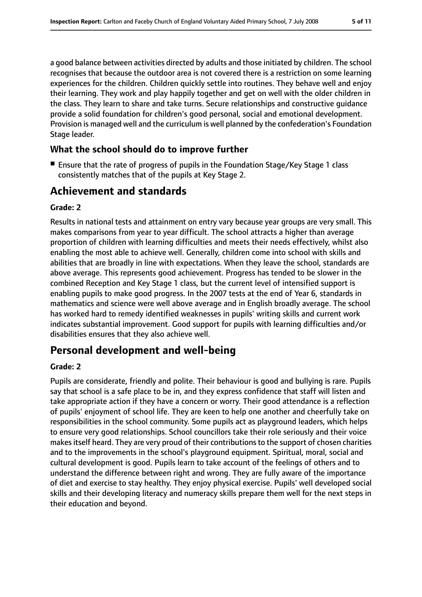a good balance between activities directed by adults and those initiated by children. The school recognises that because the outdoor area is not covered there is a restriction on some learning experiences for the children. Children quickly settle into routines. They behave well and enjoy their learning. They work and play happily together and get on well with the older children in the class. They learn to share and take turns. Secure relationships and constructive guidance provide a solid foundation for children's good personal, social and emotional development. Provision is managed well and the curriculum is well planned by the confederation's Foundation Stage leader.

#### **What the school should do to improve further**

■ Ensure that the rate of progress of pupils in the Foundation Stage/Key Stage 1 class consistently matches that of the pupils at Key Stage 2.

## **Achievement and standards**

#### **Grade: 2**

Results in national tests and attainment on entry vary because year groups are very small. This makes comparisons from year to year difficult. The school attracts a higher than average proportion of children with learning difficulties and meets their needs effectively, whilst also enabling the most able to achieve well. Generally, children come into school with skills and abilities that are broadly in line with expectations. When they leave the school, standards are above average. This represents good achievement. Progress has tended to be slower in the combined Reception and Key Stage 1 class, but the current level of intensified support is enabling pupils to make good progress. In the 2007 tests at the end of Year 6, standards in mathematics and science were well above average and in English broadly average. The school has worked hard to remedy identified weaknesses in pupils' writing skills and current work indicates substantial improvement. Good support for pupils with learning difficulties and/or disabilities ensures that they also achieve well.

## **Personal development and well-being**

#### **Grade: 2**

Pupils are considerate, friendly and polite. Their behaviour is good and bullying is rare. Pupils say that school is a safe place to be in, and they express confidence that staff will listen and take appropriate action if they have a concern or worry. Their good attendance is a reflection of pupils' enjoyment of school life. They are keen to help one another and cheerfully take on responsibilities in the school community. Some pupils act as playground leaders, which helps to ensure very good relationships. School councillors take their role seriously and their voice makes itself heard. They are very proud of their contributions to the support of chosen charities and to the improvements in the school's playground equipment. Spiritual, moral, social and cultural development is good. Pupils learn to take account of the feelings of others and to understand the difference between right and wrong. They are fully aware of the importance of diet and exercise to stay healthy. They enjoy physical exercise. Pupils' well developed social skills and their developing literacy and numeracy skills prepare them well for the next steps in their education and beyond.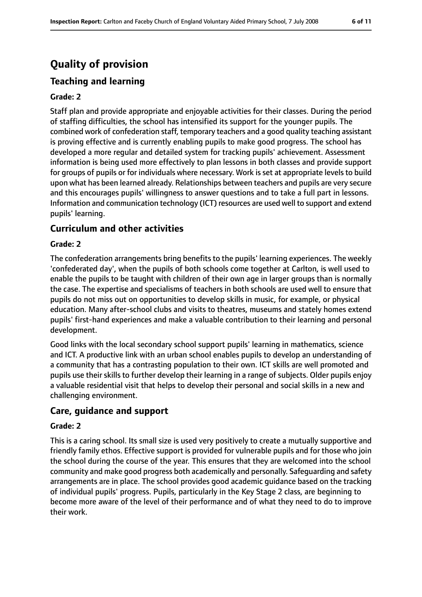## **Quality of provision**

## **Teaching and learning**

#### **Grade: 2**

Staff plan and provide appropriate and enjoyable activities for their classes. During the period of staffing difficulties, the school has intensified its support for the younger pupils. The combined work of confederation staff, temporary teachers and a good quality teaching assistant is proving effective and is currently enabling pupils to make good progress. The school has developed a more regular and detailed system for tracking pupils' achievement. Assessment information is being used more effectively to plan lessons in both classes and provide support for groups of pupils or for individuals where necessary. Work is set at appropriate levels to build upon what has been learned already. Relationships between teachers and pupils are very secure and this encourages pupils' willingness to answer questions and to take a full part in lessons. Information and communication technology (ICT) resources are used well to support and extend pupils' learning.

#### **Curriculum and other activities**

#### **Grade: 2**

The confederation arrangements bring benefits to the pupils' learning experiences. The weekly 'confederated day', when the pupils of both schools come together at Carlton, is well used to enable the pupils to be taught with children of their own age in larger groups than is normally the case. The expertise and specialisms of teachers in both schools are used well to ensure that pupils do not miss out on opportunities to develop skills in music, for example, or physical education. Many after-school clubs and visits to theatres, museums and stately homes extend pupils' first-hand experiences and make a valuable contribution to their learning and personal development.

Good links with the local secondary school support pupils' learning in mathematics, science and ICT. A productive link with an urban school enables pupils to develop an understanding of a community that has a contrasting population to their own. ICT skills are well promoted and pupils use their skills to further develop their learning in a range of subjects. Older pupils enjoy a valuable residential visit that helps to develop their personal and social skills in a new and challenging environment.

#### **Care, guidance and support**

#### **Grade: 2**

This is a caring school. Its small size is used very positively to create a mutually supportive and friendly family ethos. Effective support is provided for vulnerable pupils and for those who join the school during the course of the year. This ensures that they are welcomed into the school community and make good progress both academically and personally. Safeguarding and safety arrangements are in place. The school provides good academic guidance based on the tracking of individual pupils' progress. Pupils, particularly in the Key Stage 2 class, are beginning to become more aware of the level of their performance and of what they need to do to improve their work.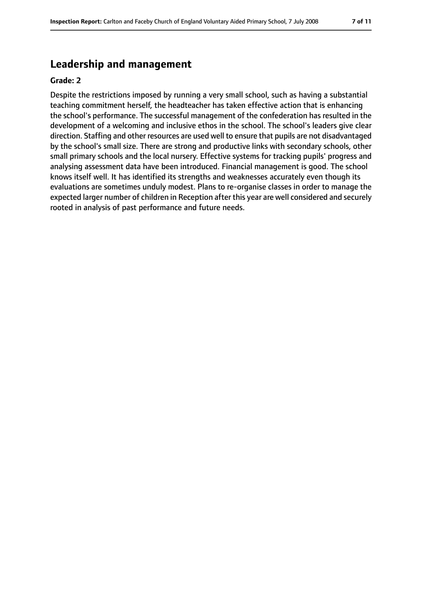## **Leadership and management**

#### **Grade: 2**

Despite the restrictions imposed by running a very small school, such as having a substantial teaching commitment herself, the headteacher has taken effective action that is enhancing the school's performance. The successful management of the confederation has resulted in the development of a welcoming and inclusive ethos in the school. The school's leaders give clear direction. Staffing and other resources are used well to ensure that pupils are not disadvantaged by the school's small size. There are strong and productive links with secondary schools, other small primary schools and the local nursery. Effective systems for tracking pupils' progress and analysing assessment data have been introduced. Financial management is good. The school knows itself well. It has identified its strengths and weaknesses accurately even though its evaluations are sometimes unduly modest. Plans to re-organise classes in order to manage the expected larger number of children in Reception after this year are well considered and securely rooted in analysis of past performance and future needs.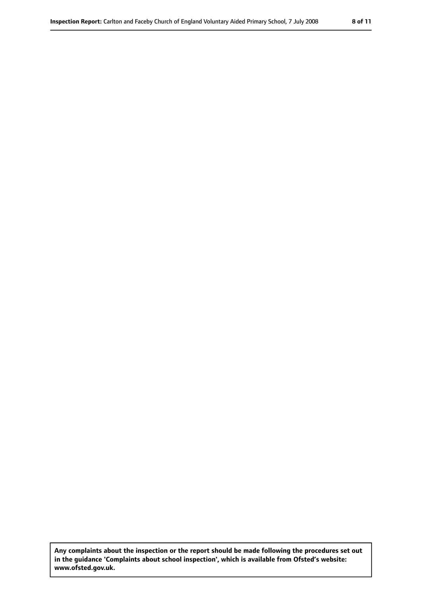**Any complaints about the inspection or the report should be made following the procedures set out in the guidance 'Complaints about school inspection', which is available from Ofsted's website: www.ofsted.gov.uk.**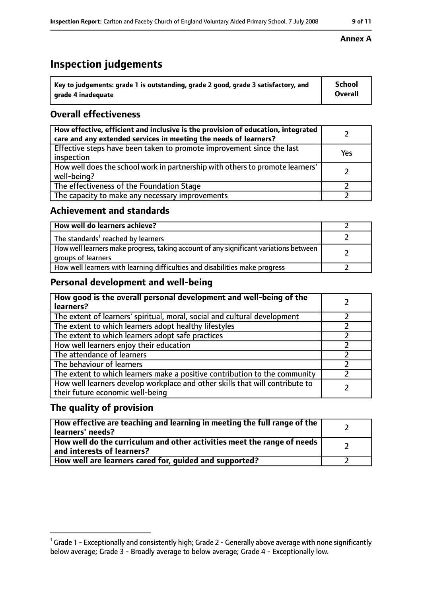## **Inspection judgements**

| ˈ Key to judgements: grade 1 is outstanding, grade 2 good, grade 3 satisfactory, and | <b>School</b>  |
|--------------------------------------------------------------------------------------|----------------|
| grade 4 inadequate                                                                   | <b>Overall</b> |

### **Overall effectiveness**

| How effective, efficient and inclusive is the provision of education, integrated<br>care and any extended services in meeting the needs of learners? |     |
|------------------------------------------------------------------------------------------------------------------------------------------------------|-----|
| Effective steps have been taken to promote improvement since the last<br>inspection                                                                  | Yes |
| How well does the school work in partnership with others to promote learners'<br>well-being?                                                         |     |
| The effectiveness of the Foundation Stage                                                                                                            |     |
| The capacity to make any necessary improvements                                                                                                      |     |

#### **Achievement and standards**

| How well do learners achieve?                                                                               |  |
|-------------------------------------------------------------------------------------------------------------|--|
| The standards <sup>1</sup> reached by learners                                                              |  |
| How well learners make progress, taking account of any significant variations between<br>groups of learners |  |
| How well learners with learning difficulties and disabilities make progress                                 |  |

### **Personal development and well-being**

| How good is the overall personal development and well-being of the<br>learners?                                  |  |
|------------------------------------------------------------------------------------------------------------------|--|
| The extent of learners' spiritual, moral, social and cultural development                                        |  |
| The extent to which learners adopt healthy lifestyles                                                            |  |
| The extent to which learners adopt safe practices                                                                |  |
| How well learners enjoy their education                                                                          |  |
| The attendance of learners                                                                                       |  |
| The behaviour of learners                                                                                        |  |
| The extent to which learners make a positive contribution to the community                                       |  |
| How well learners develop workplace and other skills that will contribute to<br>their future economic well-being |  |

#### **The quality of provision**

| How effective are teaching and learning in meeting the full range of the<br>learners' needs?          |  |
|-------------------------------------------------------------------------------------------------------|--|
| How well do the curriculum and other activities meet the range of needs<br>and interests of learners? |  |
| How well are learners cared for, guided and supported?                                                |  |

#### **Annex A**

 $^1$  Grade 1 - Exceptionally and consistently high; Grade 2 - Generally above average with none significantly below average; Grade 3 - Broadly average to below average; Grade 4 - Exceptionally low.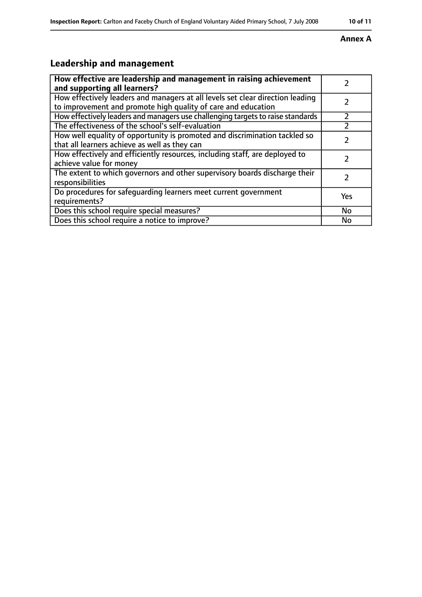#### **Annex A**

## **Leadership and management**

| How effective are leadership and management in raising achievement<br>and supporting all learners?                                              |     |
|-------------------------------------------------------------------------------------------------------------------------------------------------|-----|
| How effectively leaders and managers at all levels set clear direction leading<br>to improvement and promote high quality of care and education |     |
| How effectively leaders and managers use challenging targets to raise standards                                                                 |     |
| The effectiveness of the school's self-evaluation                                                                                               |     |
| How well equality of opportunity is promoted and discrimination tackled so<br>that all learners achieve as well as they can                     |     |
| How effectively and efficiently resources, including staff, are deployed to<br>achieve value for money                                          | 7   |
| The extent to which governors and other supervisory boards discharge their<br>responsibilities                                                  | 7   |
| Do procedures for safequarding learners meet current government<br>requirements?                                                                | Yes |
| Does this school require special measures?                                                                                                      | No  |
| Does this school require a notice to improve?                                                                                                   | No  |